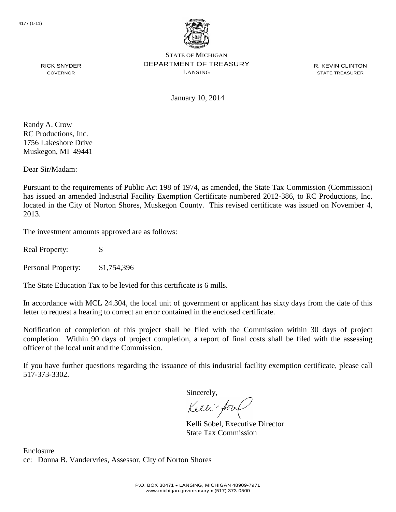

STATE OF MICHIGAN DEPARTMENT OF TREASURY LANSING

R. KEVIN CLINTON STATE TREASURER

RICK SNYDER GOVERNOR

January 10, 2014

Randy A. Crow RC Productions, Inc. 1756 Lakeshore Drive Muskegon, MI 49441

Dear Sir/Madam:

Pursuant to the requirements of Public Act 198 of 1974, as amended, the State Tax Commission (Commission) has issued an amended Industrial Facility Exemption Certificate numbered 2012-386, to RC Productions, Inc. located in the City of Norton Shores, Muskegon County. This revised certificate was issued on November 4, 2013.

The investment amounts approved are as follows:

Real Property: \$

Personal Property: \$1,754,396

The State Education Tax to be levied for this certificate is 6 mills.

In accordance with MCL 24.304, the local unit of government or applicant has sixty days from the date of this letter to request a hearing to correct an error contained in the enclosed certificate.

Notification of completion of this project shall be filed with the Commission within 30 days of project completion. Within 90 days of project completion, a report of final costs shall be filed with the assessing officer of the local unit and the Commission.

If you have further questions regarding the issuance of this industrial facility exemption certificate, please call 517-373-3302.

Sincerely,

Kelli-Sort

Kelli Sobel, Executive Director State Tax Commission

Enclosure cc: Donna B. Vandervries, Assessor, City of Norton Shores